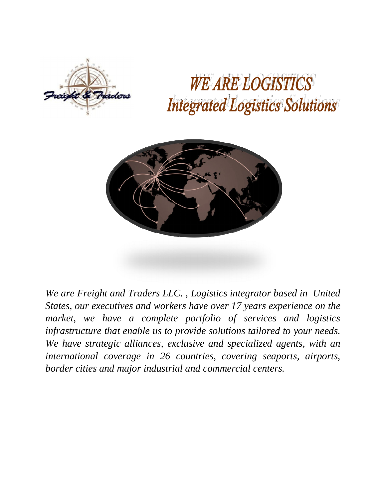



*We are Freight and Traders LLC. , Logistics integrator based in United States, our executives and workers have over 17 years experience on the market, we have a complete portfolio of services and logistics infrastructure that enable us to provide solutions tailored to your needs. We have strategic alliances, exclusive and specialized agents, with an international coverage in 26 countries, covering seaports, airports, border cities and major industrial and commercial centers.*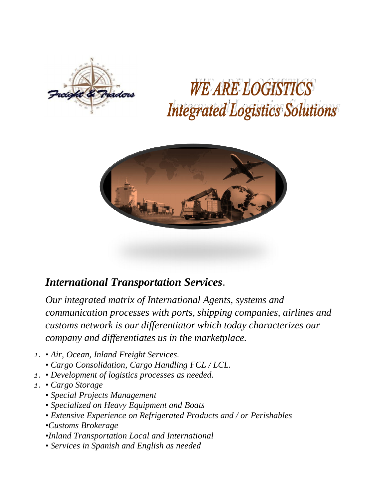



#### *International Transportation Services.*

*Our integrated matrix of International Agents, systems and communication processes with ports, shipping companies, airlines and customs network is our differentiator which today characterizes our company and differentiates us in the marketplace.*

- *1. Air, Ocean, Inland Freight Services.*
	- *Cargo Consolidation, Cargo Handling FCL / LCL.*
- *1. Development of logistics processes as needed.*
- *1. Cargo Storage*
	- *Special Projects Management*
	- *Specialized on Heavy Equipment and Boats*
	- *• Extensive Experience on Refrigerated Products and / or Perishables*
	- *•Customs Brokerage*
	- *•Inland Transportation Local and International*
	- *Services in Spanish and English as needed*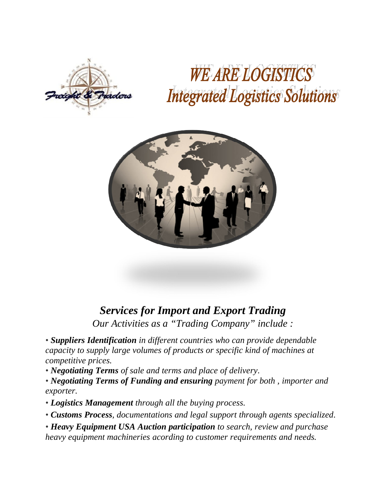



#### *Services for Import and Export Trading*

*Our Activities as a "Trading Company" include :*

*• Suppliers Identification in different countries who can provide dependable capacity to supply large volumes of products or specific kind of machines at competitive prices.*

*• Negotiating Terms of sale and terms and place of delivery.* 

*• Negotiating Terms of Funding and ensuring payment for both , importer and exporter.*

*• Logistics Management through all the buying process.*

*• Customs Process, documentations and legal support through agents specialized.* 

*• Heavy Equipment USA Auction participation to search, review and purchase heavy equipment machineries acording to customer requirements and needs.*